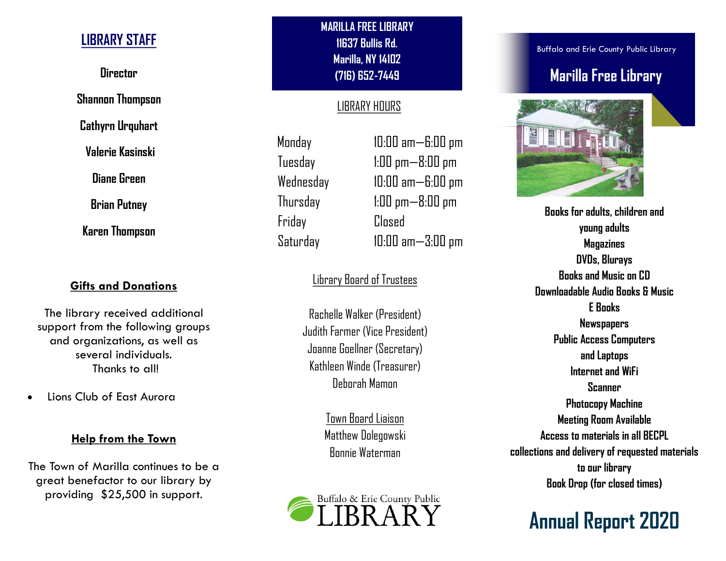## LIBRARY STAFF

**Director** 

Shannon Thompson

Cathyrn Urquhart

Valerie Kasinski

Diane Green

Brian Putney

Karen Thompson

### Gifts and Donations

The library received additional support from the following groups and organizations, as well as several individuals. Thanks to all!

· Lions Club of East Aurora

#### Help from the Town

The Town of Marilla continues to be a great benefactor to our library by providing \$25,500 in support.

MARILLA FREE LIBRARY 11637 Bullis Rd. Marilla, NY 14102 (716) 652-7449

## LIBRARY HOURS

Monday 10:00 am—6:00 pm Friday Closed

Tuesday 1:00 pm—8:00 pm Wednesday 10:00 am—6:00 pm Thursday 1:00 pm—8:00 pm Saturday 10:00 am—3:00 pm

## Library Board of Trustees

Rachelle Walker (President) Judith Farmer (Vice President) Joanne Goellner (Secretary) Kathleen Winde (Treasurer) Deborah Mamon

> Town Board Liaison Matthew Dolegowski Bonnie Waterman



Buffalo and Erie County Public Library

# Marilla Free Library



Books for adults, children and young adults Magazines DVDs, Blurays Books and Music on CD Downloadable Audio Books & Music E Books **Newspapers** Public Access Computers and Laptops Internet and WiFi Scanner Photocopy Machine Meeting Room Available Access to materials in all BECPL collections and delivery of requested materials to our library Book Drop (for closed times)

**Annual Report 2020**